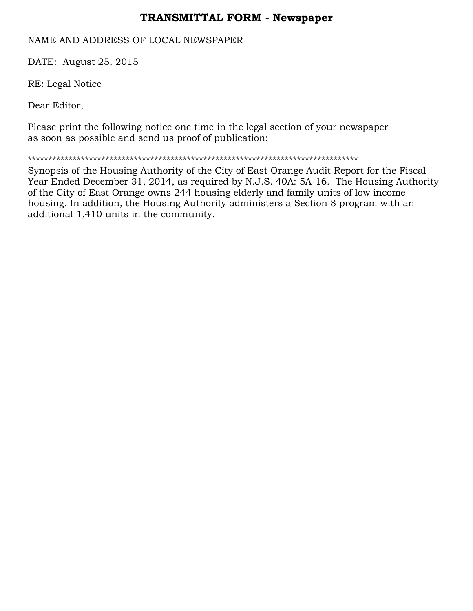## **TRANSMITTAL FORM - Newspaper**

NAME AND ADDRESS OF LOCAL NEWSPAPER

DATE: August 25, 2015

RE: Legal Notice

Dear Editor,

Please print the following notice one time in the legal section of your newspaper as soon as possible and send us proof of publication:

\*\*\*\*\*\*\*\*\*\*\*\*\*\*\*\*\*\*\*\*\*\*\*\*\*\*\*\*\*\*\*\*\*\*\*\*\*\*\*\*\*\*\*\*\*\*\*\*\*\*\*\*\*\*\*\*\*\*\*\*\*\*\*\*\*\*\*\*\*\*\*\*\*\*\*\*\*\*\*\*\*

Synopsis of the Housing Authority of the City of East Orange Audit Report for the Fiscal Year Ended December 31, 2014, as required by N.J.S. 40A: 5A-16. The Housing Authority of the City of East Orange owns 244 housing elderly and family units of low income housing. In addition, the Housing Authority administers a Section 8 program with an additional 1,410 units in the community.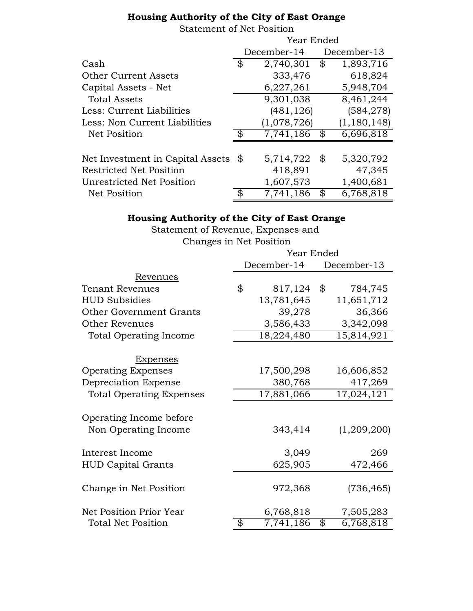## **Housing Authority of the City of East Orange**

Statement of Net Position

|                                  | Year Ended  |             |             |               |
|----------------------------------|-------------|-------------|-------------|---------------|
|                                  | December-14 |             | December-13 |               |
| Cash                             | \$          | 2,740,301   | \$          | 1,893,716     |
| <b>Other Current Assets</b>      |             | 333,476     |             | 618,824       |
| Capital Assets - Net             |             | 6,227,261   |             | 5,948,704     |
| <b>Total Assets</b>              |             | 9,301,038   |             | 8,461,244     |
| Less: Current Liabilities        |             | (481, 126)  |             | (584, 278)    |
| Less: Non Current Liabilities    |             | (1,078,726) |             | (1, 180, 148) |
| Net Position                     | \$          | 7,741,186   | \$          | 6,696,818     |
|                                  |             |             |             |               |
| Net Investment in Capital Assets | \$          | 5,714,722   | \$          | 5,320,792     |
| <b>Restricted Net Position</b>   |             | 418,891     |             | 47,345        |
| Unrestricted Net Position        |             | 1,607,573   |             | 1,400,681     |
| <b>Net Position</b>              | \$          | 7,741,186   | \$          | 6,768,818     |

## **Housing Authority of the City of East Orange**

Statement of Revenue, Expenses and Changes in Net Position

|                                                 | Year Ended |             |    |             |  |
|-------------------------------------------------|------------|-------------|----|-------------|--|
|                                                 |            | December-14 |    | December-13 |  |
| Revenues                                        |            |             |    |             |  |
| <b>Tenant Revenues</b>                          | \$         | 817,124     | \$ | 784,745     |  |
| <b>HUD Subsidies</b>                            |            | 13,781,645  |    | 11,651,712  |  |
| Other Government Grants                         |            | 39,278      |    | 36,366      |  |
| <b>Other Revenues</b>                           |            | 3,586,433   |    | 3,342,098   |  |
| <b>Total Operating Income</b>                   |            | 18,224,480  |    | 15,814,921  |  |
|                                                 |            |             |    |             |  |
| <b>Expenses</b>                                 |            |             |    |             |  |
| <b>Operating Expenses</b>                       |            | 17,500,298  |    | 16,606,852  |  |
| Depreciation Expense                            |            | 380,768     |    | 417,269     |  |
| <b>Total Operating Expenses</b>                 |            | 17,881,066  |    | 17,024,121  |  |
|                                                 |            |             |    |             |  |
| Operating Income before<br>Non Operating Income |            | 343,414     |    | (1,209,200) |  |
|                                                 |            |             |    |             |  |
| Interest Income                                 |            | 3,049       |    | 269         |  |
| <b>HUD Capital Grants</b>                       |            | 625,905     |    | 472,466     |  |
|                                                 |            |             |    |             |  |
| Change in Net Position                          |            | 972,368     |    | (736, 465)  |  |
| Net Position Prior Year                         |            | 6,768,818   |    | 7,505,283   |  |
| <b>Total Net Position</b>                       | \$         | 7,741,186   | \$ | 6,768,818   |  |